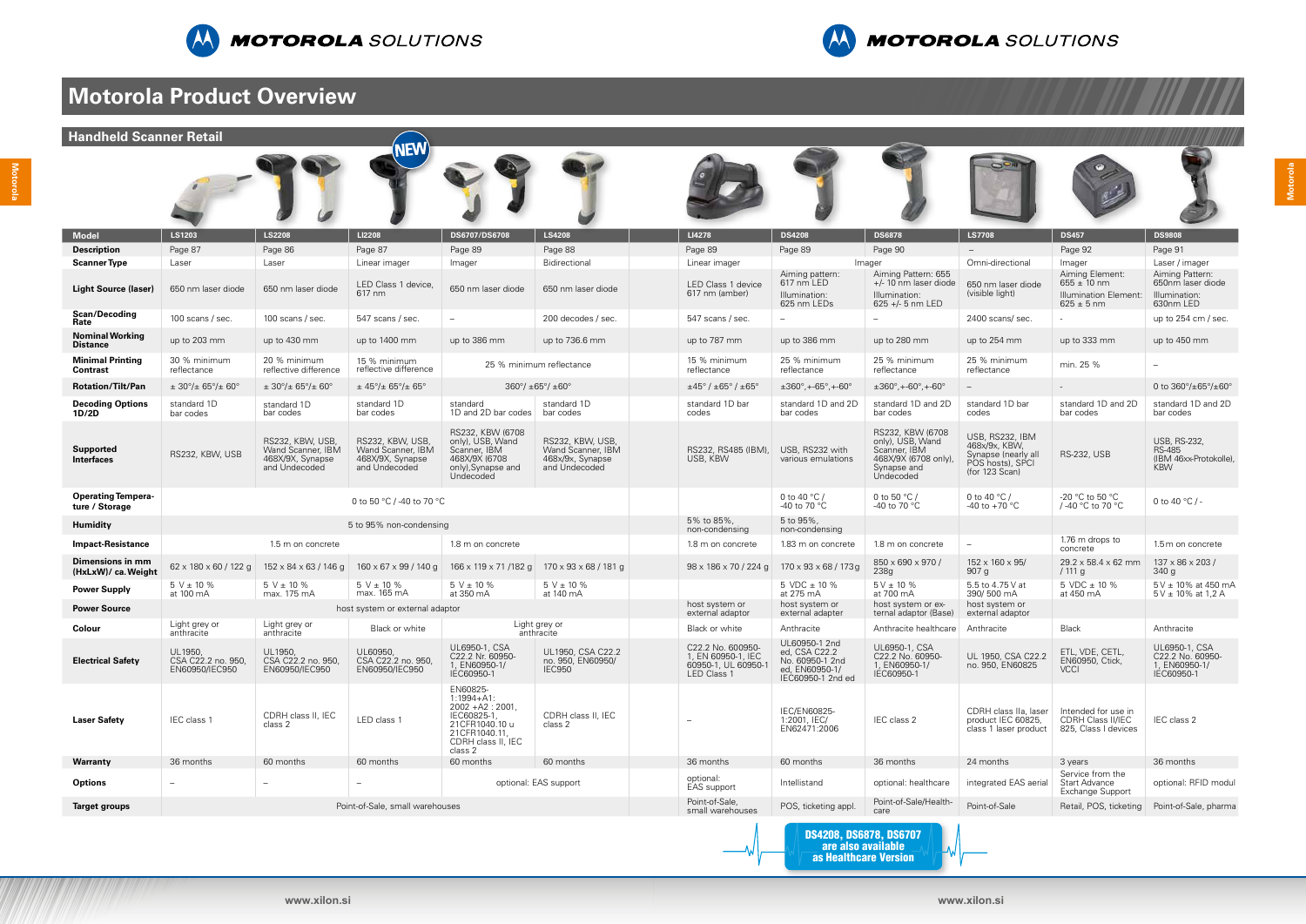Motorola **Motorola**

**Motorola**





## **Motorola Product Overview**

| <b>Handheld Scanner Retail</b>              |                                                         |                                                                            | <b>NEW</b>                                                                 |                                                                                                                                     |                                                                            |                                                                              |                                                                                          |                                                                                                         |                                                                                               |                                                                   |                                                                            |
|---------------------------------------------|---------------------------------------------------------|----------------------------------------------------------------------------|----------------------------------------------------------------------------|-------------------------------------------------------------------------------------------------------------------------------------|----------------------------------------------------------------------------|------------------------------------------------------------------------------|------------------------------------------------------------------------------------------|---------------------------------------------------------------------------------------------------------|-----------------------------------------------------------------------------------------------|-------------------------------------------------------------------|----------------------------------------------------------------------------|
|                                             |                                                         |                                                                            |                                                                            |                                                                                                                                     |                                                                            |                                                                              |                                                                                          |                                                                                                         |                                                                                               |                                                                   |                                                                            |
| <b>Model</b>                                | LS1203                                                  | <b>LS2208</b>                                                              | LI2208                                                                     | DS6707/DS6708                                                                                                                       | <b>LS4208</b>                                                              | LI4278                                                                       | <b>DS4208</b>                                                                            | <b>DS6878</b>                                                                                           | <b>LS7708</b>                                                                                 | <b>DS457</b>                                                      | <b>DS9808</b>                                                              |
| <b>Description</b>                          | Page 87                                                 | Page 86                                                                    | Page 87                                                                    | Page 89                                                                                                                             | Page 88                                                                    | Page 89                                                                      | Page 89                                                                                  | Page 90                                                                                                 |                                                                                               | Page 92                                                           | Page 91                                                                    |
| <b>Scanner Type</b>                         | Laser                                                   | Laser                                                                      | Linear imager                                                              | Imager                                                                                                                              | Bidirectional                                                              | Linear imager                                                                | Aiming pattern:                                                                          | Imager<br>Aiming Pattern: 655                                                                           | Omni-directional                                                                              | Imager<br>Aiming Element:                                         | Laser / imager<br>Aiming Pattern:                                          |
| Light Source (laser)                        | 650 nm laser diode                                      | 650 nm laser diode                                                         | LED Class 1 device,<br>617 nm                                              | 650 nm laser diode                                                                                                                  | 650 nm laser diode                                                         | LED Class 1 device<br>617 nm (amber)                                         | 617 nm LED<br>Illumination:<br>625 nm LEDs                                               | $+/-$ 10 nm laser diode<br>Illumination:<br>625 +/- 5 nm LED                                            | 650 nm laser diode<br>(visible light)                                                         | $655 \pm 10$ nm<br><b>Illumination Element:</b><br>$625 \pm 5$ nm | 650nm laser diode<br>Illumination:<br>630nm LED                            |
| <b>Scan/Decoding</b><br>Rate                | 100 scans / sec.                                        | 100 scans / sec.                                                           | 547 scans / sec.                                                           | $\overline{\phantom{m}}$                                                                                                            | 200 decodes / sec.                                                         | 547 scans / sec.                                                             | $-$                                                                                      | $-$                                                                                                     | 2400 scans/ sec.                                                                              |                                                                   | up to 254 cm / sec.                                                        |
| <b>Nominal Working</b><br><b>Distance</b>   | up to 203 mm                                            | up to 430 mm                                                               | up to 1400 mm                                                              | up to 386 mm                                                                                                                        | up to 736.6 mm                                                             | up to 787 mm                                                                 | up to 386 mm                                                                             | up to 280 mm                                                                                            | up to 254 mm                                                                                  | up to 333 mm                                                      | up to 450 mm                                                               |
| <b>Minimal Printing</b><br><b>Contrast</b>  | 30 % minimum<br>reflectance                             | 20 % minimum<br>reflective difference                                      | 15 % minimum<br>reflective difference                                      |                                                                                                                                     | 25 % minimum reflectance                                                   | 15 % minimum<br>reflectance                                                  | 25 % minimum<br>reflectance                                                              | 25 % minimum<br>reflectance                                                                             | 25 % minimum<br>reflectance                                                                   | min. 25 %                                                         |                                                                            |
| <b>Rotation/Tilt/Pan</b>                    | $\pm$ 30 $^{\circ}/\pm$ 65 $^{\circ}/\pm$ 60 $^{\circ}$ | $\pm$ 30 $^{\circ}/\pm$ 65 $^{\circ}/\pm$ 60 $^{\circ}$                    | $\pm$ 45°/ $\pm$ 65°/ $\pm$ 65°                                            |                                                                                                                                     | $360^{\circ}/\pm 65^{\circ}/\pm 60^{\circ}$                                | $\pm$ 45° / $\pm$ 65° / $\pm$ 65°                                            | $\pm 360^\circ$ , +-65°, +-60°                                                           | $\pm 360^{\circ}$ , +-60 $^{\circ}$ , +-60 $^{\circ}$                                                   |                                                                                               |                                                                   | 0 to $360^{\circ}/\pm 65^{\circ}/\pm 60^{\circ}$                           |
| <b>Decoding Options</b><br>1D/2D            | standard 1D<br>bar codes                                | standard 1D<br>bar codes                                                   | standard 1D<br>bar codes                                                   | standard<br>1D and 2D bar codes                                                                                                     | standard 1D<br>bar codes                                                   | standard 1D bar<br>codes                                                     | standard 1D and 2D<br>bar codes                                                          | standard 1D and 2D<br>bar codes                                                                         | standard 1D bar<br>codes                                                                      | standard 1D and 2D<br>bar codes                                   | standard 1D and 2D<br>bar codes                                            |
| <b>Supported</b><br><b>Interfaces</b>       | RS232, KBW, USB                                         | RS232, KBW, USB,<br>Wand Scanner, IBM<br>468X/9X, Synapse<br>and Undecoded | RS232, KBW, USB,<br>Wand Scanner, IBM<br>468X/9X, Synapse<br>and Undecoded | RS232, KBW (6708<br>only), USB, Wand<br>Scanner, IBM<br>468X/9X (6708<br>only), Synapse and<br>Undecoded                            | RS232, KBW, USB,<br>Wand Scanner, IBM<br>468x/9x, Synapse<br>and Undecoded | RS232, RS485 (IBM),<br>USB, KBW                                              | USB, RS232 with<br>various emulations                                                    | RS232, KBW (6708<br>only), USB, Wand<br>Scanner, IBM<br>468X/9X (6708 only)<br>Synapse and<br>Undecoded | USB, RS232, IBM<br>468x/9x, KBW,<br>Synapse (nearly all<br>POS hosts), SPCI<br>(for 123 Scan) | <b>RS-232, USB</b>                                                | <b>USB, RS-232,</b><br><b>RS-485</b><br>(IBM 46xx-Protokolle<br><b>KBW</b> |
| <b>Operating Tempera-</b><br>ture / Storage | 0 to 50 °C / -40 to 70 °C                               |                                                                            |                                                                            |                                                                                                                                     |                                                                            |                                                                              | 0 to 40 $\degree$ C /<br>-40 to 70 °C                                                    | 0 to 50 $\degree$ C /<br>-40 to 70 °C                                                                   | 0 to 40 $^{\circ}$ C /<br>-40 to +70 $^{\circ}$ C                                             | -20 °C to 50 °C<br>/-40 °C to 70 °C                               | 0 to 40 $^{\circ}$ C / -                                                   |
| <b>Humidity</b>                             |                                                         |                                                                            | 5 to 95% non-condensing                                                    |                                                                                                                                     |                                                                            | 5% to 85%,<br>non-condensing                                                 | 5 to 95%,<br>non-condensing                                                              |                                                                                                         |                                                                                               |                                                                   |                                                                            |
| <b>Impact-Resistance</b>                    |                                                         | 1.5 m on concrete                                                          |                                                                            | 1.8 m on concrete                                                                                                                   |                                                                            | 1.8 m on concrete                                                            | 1.83 m on concrete                                                                       | 1.8 m on concrete                                                                                       |                                                                                               | 1.76 m drops to<br>concrete                                       | 1.5 m on concrete                                                          |
| Dimensions in mm<br>(HxLxW)/ ca. Weight     | $62 \times 180 \times 60 / 122$ g                       | $152 \times 84 \times 63 / 146$ g                                          | $160 \times 67 \times 99 / 140 g$                                          | 166 x 119 x 71 /182 g                                                                                                               | 170 x 93 x 68 / 181 g                                                      | $98 \times 186 \times 70 / 224$ g                                            | $170 \times 93 \times 68 / 173$ g                                                        | 850 x 690 x 970 /<br>238g                                                                               | 152 x 160 x 95/<br>907 g                                                                      | 29.2 x 58.4 x 62 mm<br>/111 g                                     | 137 x 86 x 203 /<br>340g                                                   |
| <b>Power Supply</b>                         | $5 V \pm 10 \%$<br>at 100 mA                            | $5 V \pm 10 \%$<br>max. 175 mA                                             | $5 V \pm 10 \%$<br>max. 165 mA                                             | $5 V \pm 10 \%$<br>at 350 mA                                                                                                        | $5 V \pm 10 \%$<br>at 140 mA                                               |                                                                              | $5$ VDC $\pm$ 10 %<br>at 275 mA                                                          | $5V \pm 10 \%$<br>at 700 mA                                                                             | 5.5 to 4.75 V at<br>390/500 mA                                                                | 5 VDC $\pm$ 10 %<br>at 450 mA                                     | 5 V ± 10% at 450 m/<br>$5V \pm 10\%$ at 1,2 A                              |
| <b>Power Source</b>                         |                                                         |                                                                            | host system or external adaptor                                            |                                                                                                                                     |                                                                            | host system or<br>external adaptor                                           | host system or<br>external adapter                                                       | host system or ex-<br>ternal adaptor (Base)                                                             | host system or<br>external adaptor                                                            |                                                                   |                                                                            |
| Colour                                      | Light grey or<br>anthracite                             | Light grey or<br>anthracite                                                | Black or white                                                             |                                                                                                                                     | Light grey or<br>anthracite                                                | Black or white                                                               | Anthracite                                                                               | Anthracite healthcare   Anthracite                                                                      |                                                                                               | <b>Black</b>                                                      | Anthracite                                                                 |
| <b>Electrical Safety</b>                    | UL1950,<br>CSA C22.2 no. 950,<br>EN60950/IEC950         | UL1950,<br>CSA C22.2 no. 950,<br>EN60950/IEC950                            | UL60950,<br>CSA C22.2 no. 950,<br>EN60950/IEC950                           | UL6950-1, CSA<br>C22.2 Nr. 60950<br>1, EN60950-1/<br>IEC60950-1                                                                     | UL1950, CSA C22.2<br>no. 950, EN60950/<br>IEC950                           | C22.2 No. 600950-<br>1, EN 60950-1, IEC<br>60950-1, UL 60950-<br>LED Class 1 | UL60950-1 2nd<br>ed, CSA C22.2<br>No. 60950-1 2nd<br>ed, EN60950-1/<br>IEC60950-1 2nd ed | UL6950-1, CSA<br>C22.2 No. 60950-<br>1, EN60950-1/<br>IEC60950-1                                        | UL 1950, CSA C22.2<br>no. 950, EN60825                                                        | ETL, VDE, CETL,<br>EN60950, Ctick,<br><b>VCCI</b>                 | UL6950-1, CSA<br>C22.2 No. 60950-<br>1, EN60950-1/<br>IEC60950-1           |
| <b>Laser Safety</b>                         | IEC class 1                                             | CDRH class II, IEC<br>class 2                                              | LED class 1                                                                | EN60825-<br>$1:1994 + A1$ :<br>$2002 + A2 : 2001$<br>IEC60825-1<br>21CFR1040.10 u<br>21CFR1040.11,<br>CDRH class II. IEC<br>class 2 | CDRH class II, IEC<br>class 2                                              | $\overline{\phantom{0}}$                                                     | IEC/EN60825-<br>1:2001, IEC/<br>EN62471:2006                                             | IEC class 2                                                                                             | CDRH class IIa, laser<br>product IEC 60825,<br>class 1 laser product                          | Intended for use in<br>CDRH Class II/IEC<br>825, Class I devices  | IEC class 2                                                                |
| Warranty                                    | 36 months                                               | 60 months                                                                  | 60 months                                                                  | 60 months                                                                                                                           | 60 months                                                                  | 36 months                                                                    | 60 months                                                                                | 36 months                                                                                               | 24 months                                                                                     | 3 years                                                           | 36 months                                                                  |
| <b>Options</b>                              |                                                         | $\overline{\phantom{0}}$                                                   |                                                                            |                                                                                                                                     | optional: EAS support                                                      | optional:<br>EAS support                                                     | Intellistand                                                                             | optional: healthcare                                                                                    | integrated EAS aerial                                                                         | Service from the<br><b>Start Advance</b><br>Exchange Support      | optional: RFID modu                                                        |
| <b>Target groups</b>                        |                                                         |                                                                            | Point-of-Sale, small warehouses                                            |                                                                                                                                     |                                                                            | Point-of-Sale,<br>small warehouses                                           | POS, ticketing appl.                                                                     | Point-of-Sale/Health-<br>care                                                                           | Point-of-Sale                                                                                 | Retail, POS, ticketing                                            | Point-of-Sale, pharm                                                       |
|                                             |                                                         |                                                                            |                                                                            |                                                                                                                                     |                                                                            |                                                                              |                                                                                          |                                                                                                         |                                                                                               |                                                                   |                                                                            |



DS4208, DS6878, DS6707 are also available as Healthcare Version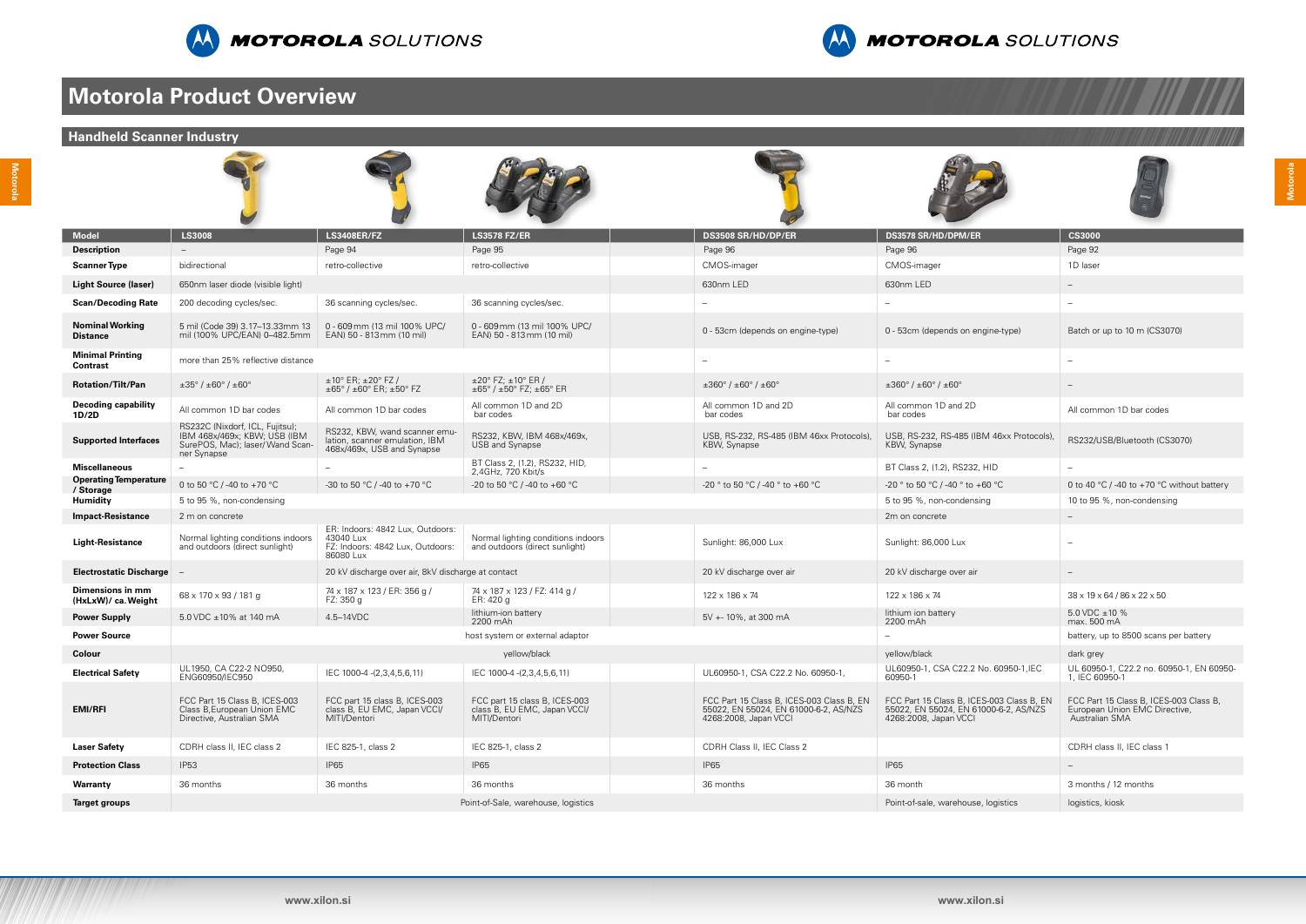



## **Motorola Product Overview**

| <b>Handheld Scanner Industry</b>           |                                                                                                                    |                                                                                                |                                                                                                           |                                                                                                             |                                                                                                             |                                                                                           |
|--------------------------------------------|--------------------------------------------------------------------------------------------------------------------|------------------------------------------------------------------------------------------------|-----------------------------------------------------------------------------------------------------------|-------------------------------------------------------------------------------------------------------------|-------------------------------------------------------------------------------------------------------------|-------------------------------------------------------------------------------------------|
|                                            |                                                                                                                    |                                                                                                |                                                                                                           |                                                                                                             |                                                                                                             |                                                                                           |
| <b>Model</b>                               | <b>LS3008</b>                                                                                                      | <b>LS3408ER/FZ</b>                                                                             | <b>LS3578 FZ/ER</b>                                                                                       | DS3508 SR/HD/DP/ER                                                                                          | DS3578 SR/HD/DPM/ER                                                                                         | <b>CS3000</b>                                                                             |
| <b>Description</b>                         |                                                                                                                    | Page 94                                                                                        | Page 95                                                                                                   | Page 96                                                                                                     | Page 96                                                                                                     | Page 92                                                                                   |
| <b>Scanner Type</b>                        | bidirectional                                                                                                      | retro-collective                                                                               | retro-collective                                                                                          | CMOS-imager                                                                                                 | CMOS-imager                                                                                                 | 1D laser                                                                                  |
| <b>Light Source (laser)</b>                | 650nm laser diode (visible light)                                                                                  |                                                                                                |                                                                                                           | 630nm LED                                                                                                   | 630nm LED                                                                                                   | $-$                                                                                       |
| <b>Scan/Decoding Rate</b>                  | 200 decoding cycles/sec.                                                                                           | 36 scanning cycles/sec.                                                                        | 36 scanning cycles/sec.                                                                                   | $\overline{\phantom{0}}$                                                                                    | $-$                                                                                                         |                                                                                           |
| <b>Nominal Working</b><br><b>Distance</b>  | 5 mil (Code 39) 3.17-13.33mm 13<br>mil (100% UPC/EAN) 0-482.5mm                                                    | 0 - 609 mm (13 mil 100% UPC/<br>EAN) 50 - 813 mm (10 mil)                                      | 0 - 609 mm (13 mil 100% UPC/<br>EAN) 50 - 813 mm (10 mil)                                                 | 0 - 53cm (depends on engine-type)                                                                           | 0 - 53cm (depends on engine-type)                                                                           | Batch or up to 10 m (CS3070)                                                              |
| <b>Minimal Printing</b><br><b>Contrast</b> | more than 25% reflective distance                                                                                  |                                                                                                |                                                                                                           |                                                                                                             |                                                                                                             |                                                                                           |
| <b>Rotation/Tilt/Pan</b>                   | $\pm 35^{\circ}$ / $\pm 60^{\circ}$ / $\pm 60^{\circ}$                                                             | $±10°$ ER; $±20°$ FZ /<br>$\pm 65^{\circ}$ / $\pm 60^{\circ}$ ER; $\pm 50^{\circ}$ FZ          | $\pm 20^{\circ}$ FZ; $\pm 10^{\circ}$ ER /<br>$\pm 65^{\circ}$ / $\pm 50^{\circ}$ FZ: $\pm 65^{\circ}$ ER | $\pm 360^{\circ}$ / $\pm 60^{\circ}$ / $\pm 60^{\circ}$                                                     | $\pm 360^\circ$ / $\pm 60^\circ$ / $\pm 60^\circ$                                                           |                                                                                           |
| <b>Decoding capability</b><br>1D/2D        | All common 1D bar codes                                                                                            | All common 1D bar codes                                                                        | All common 1D and 2D<br>bar codes                                                                         | All common 1D and 2D<br>bar codes                                                                           | All common 1D and 2D<br>bar codes                                                                           | All common 1D bar codes                                                                   |
| <b>Supported Interfaces</b>                | RS232C (Nixdorf, ICL, Fujitsu);<br>IBM 468x/469x; KBW; USB (IBM<br>SurePOS, Mac); laser/ Wand Scan-<br>ner Synapse | RS232, KBW, wand scanner emu-<br>lation, scanner emulation, IBM<br>468x/469x, USB and Synapse  | RS232, KBW, IBM 468x/469x,<br>USB and Synapse                                                             | USB, RS-232, RS-485 (IBM 46xx Protocols)<br>KBW, Synapse                                                    | USB, RS-232, RS-485 (IBM 46xx Protocols),<br>KBW, Synapse                                                   | RS232/USB/Bluetooth (CS3070)                                                              |
| <b>Miscellaneous</b>                       |                                                                                                                    |                                                                                                | BT Class 2, (1.2), RS232, HID,<br>2,4GHz, 720 Kbit/s                                                      |                                                                                                             | BT Class 2, (1.2), RS232, HID                                                                               |                                                                                           |
| <b>Operating Temperature</b><br>/ Storage  | 0 to 50 °C / -40 to +70 °C                                                                                         | -30 to 50 °C / -40 to +70 °C                                                                   | -20 to 50 °C / -40 to +60 °C                                                                              | -20 ° to 50 °C / -40 ° to +60 °C                                                                            | -20 ° to 50 °C / -40 ° to +60 °C                                                                            | 0 to 40 °C / -40 to +70 °C without battery                                                |
| <b>Humidity</b>                            | 5 to 95 %, non-condensing                                                                                          |                                                                                                |                                                                                                           |                                                                                                             | 5 to 95 %, non-condensing                                                                                   | 10 to 95 %, non-condensing                                                                |
| <b>Impact-Resistance</b>                   | 2 m on concrete                                                                                                    |                                                                                                |                                                                                                           |                                                                                                             | 2m on concrete                                                                                              |                                                                                           |
| <b>Light-Resistance</b>                    | Normal lighting conditions indoors<br>and outdoors (direct sunlight)                                               | ER: Indoors: 4842 Lux. Outdoors:<br>43040 Lux<br>FZ: Indoors: 4842 Lux, Outdoors:<br>86080 Lux | Normal lighting conditions indoors<br>and outdoors (direct sunlight)                                      | Sunlight: 86,000 Lux                                                                                        | Sunlight: 86,000 Lux                                                                                        |                                                                                           |
| <b>Electrostatic Discharge</b>             |                                                                                                                    | 20 kV discharge over air, 8kV discharge at contact                                             |                                                                                                           | 20 kV discharge over air                                                                                    | 20 kV discharge over air                                                                                    |                                                                                           |
| Dimensions in mm<br>(HxLxW)/ ca. Weight    | 68 x 170 x 93 / 181 g                                                                                              | 74 x 187 x 123 / ER: 356 g /<br>FZ: 350 g                                                      | 74 x 187 x 123 / FZ: 414 g /<br>ER: 420 g                                                                 | 122 x 186 x 74                                                                                              | 122 x 186 x 74                                                                                              | $38 \times 19 \times 64 / 86 \times 22 \times 50$                                         |
| <b>Power Supply</b>                        | 5.0 VDC ±10% at 140 mA                                                                                             | 4.5-14VDC                                                                                      | lithium-ion battery<br>2200 mAh                                                                           | 5V +- 10%, at 300 mA                                                                                        | lithium ion battery<br>2200 mAh                                                                             | 5.0 VDC $\pm$ 10 %<br>max. 500 mA                                                         |
| <b>Power Source</b>                        |                                                                                                                    |                                                                                                | host system or external adaptor                                                                           |                                                                                                             | $-$                                                                                                         | battery, up to 8500 scans per battery                                                     |
| Colour                                     |                                                                                                                    |                                                                                                | yellow/black                                                                                              |                                                                                                             | yellow/black                                                                                                | dark grey                                                                                 |
| <b>Electrical Safety</b>                   | UL1950, CA C22-2 NO950,<br>ENG60950/IEC950                                                                         | IEC 1000-4 - (2,3,4,5,6,11)                                                                    | IEC 1000-4 -(2,3,4,5,6,11)                                                                                | UL60950-1, CSA C22.2 No. 60950-1,                                                                           | UL60950-1, CSA C22.2 No. 60950-1, IEC<br>60950-1                                                            | UL 60950-1, C22.2 no. 60950-1, EN 60950-<br>1, IEC 60950-1                                |
| <b>EMI/RFI</b>                             | FCC Part 15 Class B, ICES-003<br>Class B, European Union EMC<br>Directive, Australian SMA                          | FCC part 15 class B, ICES-003<br>class B, EU EMC, Japan VCCI/<br>MITI/Dentori                  | FCC part 15 class B, ICES-003<br>class B, EU EMC, Japan VCCI/<br>MITI/Dentori                             | FCC Part 15 Class B, ICES-003 Class B, EN<br>55022, EN 55024, EN 61000-6-2, AS/NZS<br>4268:2008, Japan VCCI | FCC Part 15 Class B, ICES-003 Class B, EN<br>55022, EN 55024, EN 61000-6-2, AS/NZS<br>4268:2008, Japan VCCI | FCC Part 15 Class B. ICES-003 Class B.<br>European Union EMC Directive.<br>Australian SMA |
| <b>Laser Safety</b>                        | CDRH class II, IEC class 2                                                                                         | IEC 825-1, class 2                                                                             | IEC 825-1, class 2                                                                                        | CDRH Class II, IEC Class 2                                                                                  |                                                                                                             | CDRH class II, IEC class 1                                                                |
| <b>Protection Class</b>                    | <b>IP53</b>                                                                                                        | <b>IP65</b>                                                                                    | <b>IP65</b>                                                                                               | <b>IP65</b>                                                                                                 | <b>IP65</b>                                                                                                 |                                                                                           |
| Warranty                                   | 36 months                                                                                                          | 36 months                                                                                      | 36 months                                                                                                 | 36 months                                                                                                   | 36 month                                                                                                    | 3 months / 12 months                                                                      |
| <b>Target groups</b>                       |                                                                                                                    |                                                                                                | Point-of-Sale, warehouse, logistics                                                                       |                                                                                                             | Point-of-sale, warehouse, logistics                                                                         | logistics, kiosk                                                                          |
|                                            |                                                                                                                    |                                                                                                |                                                                                                           |                                                                                                             |                                                                                                             |                                                                                           |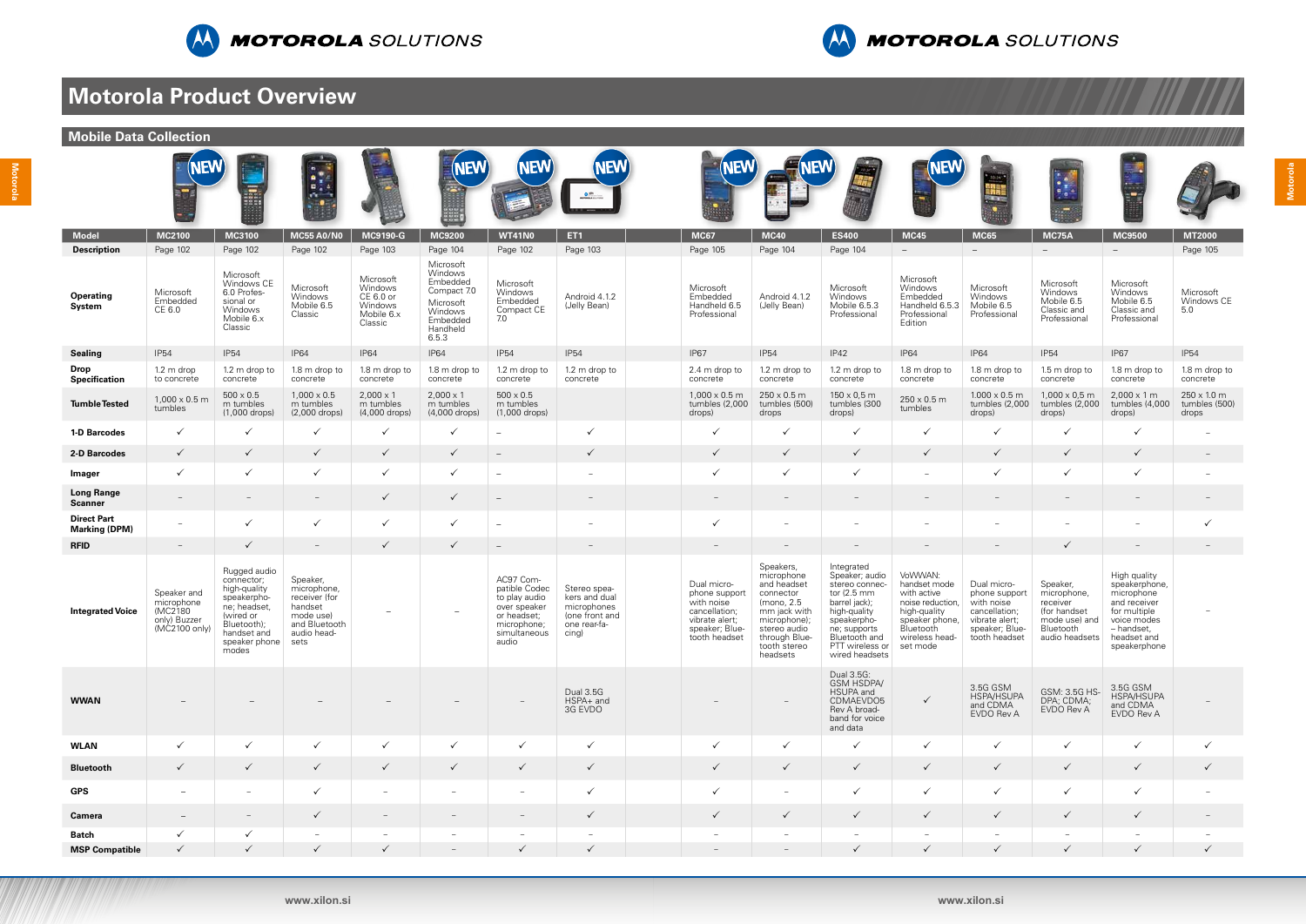



# **Motorola Product Overview**

| <b>Mobile Data Collection</b>                    |                                                                       |                                                                                                                                                |                                                                                                          |                                                                                   |                                                                                                                      |                                                                                                                    |                                                                                         |                                                                                                                  |                                                                                                                                                                |                                                                                                                                                                                                |                                                                                                                                         |                                                                                                                  |                                                                                                     |                                                                                                                                         |                                                     |
|--------------------------------------------------|-----------------------------------------------------------------------|------------------------------------------------------------------------------------------------------------------------------------------------|----------------------------------------------------------------------------------------------------------|-----------------------------------------------------------------------------------|----------------------------------------------------------------------------------------------------------------------|--------------------------------------------------------------------------------------------------------------------|-----------------------------------------------------------------------------------------|------------------------------------------------------------------------------------------------------------------|----------------------------------------------------------------------------------------------------------------------------------------------------------------|------------------------------------------------------------------------------------------------------------------------------------------------------------------------------------------------|-----------------------------------------------------------------------------------------------------------------------------------------|------------------------------------------------------------------------------------------------------------------|-----------------------------------------------------------------------------------------------------|-----------------------------------------------------------------------------------------------------------------------------------------|-----------------------------------------------------|
|                                                  | <b>NEW</b>                                                            | E                                                                                                                                              | ×,<br>真言<br><b>ALC</b>                                                                                   |                                                                                   | <b>NEW)</b>                                                                                                          | <b>NEW</b>                                                                                                         | <b>NEW</b><br>$\bullet$                                                                 | <b>VEW)</b>                                                                                                      |                                                                                                                                                                |                                                                                                                                                                                                | <b>NEW</b>                                                                                                                              | <b>E ROY</b>                                                                                                     |                                                                                                     |                                                                                                                                         |                                                     |
| <b>Model</b>                                     | <b>MC2100</b>                                                         | <b>MC3100</b>                                                                                                                                  | <b>MC55 A0/N0</b>                                                                                        | <b>MC9190-G</b>                                                                   | <b>MC9200</b>                                                                                                        | <b>WT41N0</b>                                                                                                      | ET <sub>1</sub>                                                                         | <b>MC67</b>                                                                                                      | <b>MC40</b>                                                                                                                                                    | <b>ES400</b>                                                                                                                                                                                   | <b>MC45</b>                                                                                                                             | <b>MC65</b>                                                                                                      | <b>MC75A</b>                                                                                        | <b>MC9500</b>                                                                                                                           | <b>MT2000</b>                                       |
| <b>Description</b><br><b>Operating</b><br>System | Page 102<br>Microsoft<br>Embedded<br>CE 6.0                           | Page 102<br>Microsoft<br>Windows CE<br>6.0 Profes-<br>sional or<br>Windows<br>Mobile 6.x<br>Classic                                            | Page 102<br>Microsoft<br>Windows<br>Mobile 6.5<br>Classic                                                | Page 103<br>Microsoft<br>Windows<br>CE 6.0 or<br>Windows<br>Mobile 6.x<br>Classic | Page 104<br>Microsoft<br>Windows<br>Embedded<br>Compact 7.0<br>Microsoft<br>Windows<br>Embedded<br>Handheld<br>6.5.3 | Page 102<br>Microsoft<br>Windows<br>Embedded<br>Compact CE<br>7.0                                                  | Page 103<br>Android 4.1.2<br>(Jelly Bean)                                               | Page 105<br>Microsoft<br>Embedded<br>Handheld 6.5<br>Professional                                                | Page 104<br>Android 4.1.2<br>(Jelly Bean)                                                                                                                      | Page 104<br>Microsoft<br>Windows<br>Mobile 6.5.3<br>Professional                                                                                                                               | $ \,$<br>Microsoft<br>Windows<br>Embedded<br>Handheld 6.5.3<br>Professional<br>Edition                                                  | $\overline{\phantom{a}}$<br>Microsoft<br>Windows<br>Mobile 6.5<br>Professional                                   | $ \,$<br>Microsoft<br>Windows<br>Mobile 6.5<br>Classic and<br>Professional                          | $\equiv$<br>Microsoft<br>Windows<br>Mobile 6.5<br>Classic and<br>Professional                                                           | Page 105<br>Microsoft<br>Windows CE<br>5.0          |
| <b>Sealing</b>                                   | <b>IP54</b>                                                           | <b>IP54</b>                                                                                                                                    | <b>IP64</b>                                                                                              | <b>IP64</b>                                                                       | <b>IP64</b>                                                                                                          | <b>IP54</b>                                                                                                        | <b>IP54</b>                                                                             | <b>IP67</b>                                                                                                      | <b>IP54</b>                                                                                                                                                    | IP42                                                                                                                                                                                           | <b>IP64</b>                                                                                                                             | <b>IP64</b>                                                                                                      | <b>IP54</b>                                                                                         | <b>IP67</b>                                                                                                                             | <b>IP54</b>                                         |
| Drop<br>Specification                            | $1.2 \text{ m}$ drop<br>to concrete                                   | 1.2 m drop to<br>concrete                                                                                                                      | 1.8 m drop to<br>concrete                                                                                | 1.8 m drop to<br>concrete                                                         | 1.8 m drop to<br>concrete                                                                                            | 1.2 m drop to<br>concrete                                                                                          | 1.2 m drop to<br>concrete                                                               | 2.4 m drop to<br>concrete                                                                                        | 1.2 m drop to<br>concrete                                                                                                                                      | 1.2 m drop to<br>concrete                                                                                                                                                                      | 1.8 m drop to<br>concrete                                                                                                               | 1.8 m drop to<br>concrete                                                                                        | 1.5 m drop to<br>concrete                                                                           | 1.8 m drop to<br>concrete                                                                                                               | 1.8 m drop to<br>concrete                           |
| <b>Tumble Tested</b>                             | $1,000 \times 0.5$ m<br>tumbles                                       | $500 \times 0.5$<br>m tumbles<br>$(1,000$ drops)                                                                                               | $1,000 \times 0.5$<br>m tumbles<br>$(2,000$ drops)                                                       | $2,000 \times 1$<br>m tumbles<br>(4,000 drops)                                    | $2,000 \times 1$<br>m tumbles<br>(4,000 drops)                                                                       | $500 \times 0.5$<br>m tumbles<br>(1,000 drops)                                                                     |                                                                                         | $1,000 \times 0.5$ m<br>tumbles (2,000<br>drops)                                                                 | $250 \times 0.5$ m<br>tumbles (500)<br>drops                                                                                                                   | $150 \times 0,5$ m<br>tumbles (300<br>drops)                                                                                                                                                   | $250 \times 0.5$ m<br>tumbles                                                                                                           | $1.000 \times 0.5$ m<br>tumbles (2,000<br>drops)                                                                 | $1,000 \times 0.5$ m<br>tumbles (2,000<br>drops)                                                    | $2,000 \times 1 \text{ m}$<br>tumbles (4,000<br>drops)                                                                                  | $250 \times 10 \text{ m}$<br>tumbles (500)<br>drops |
| 1-D Barcodes                                     | $\checkmark$                                                          | $\checkmark$                                                                                                                                   |                                                                                                          | $\checkmark$                                                                      | $\checkmark$                                                                                                         |                                                                                                                    | $\checkmark$                                                                            | ✓                                                                                                                | $\checkmark$                                                                                                                                                   | $\checkmark$                                                                                                                                                                                   | $\checkmark$                                                                                                                            | $\checkmark$                                                                                                     | $\checkmark$                                                                                        | ✓                                                                                                                                       | ۰                                                   |
| 2-D Barcodes                                     | $\checkmark$                                                          | $\checkmark$                                                                                                                                   | $\checkmark$                                                                                             | $\checkmark$                                                                      | $\checkmark$                                                                                                         |                                                                                                                    | $\checkmark$                                                                            | $\checkmark$                                                                                                     | $\checkmark$                                                                                                                                                   | $\sqrt{}$                                                                                                                                                                                      | $\checkmark$                                                                                                                            | $\checkmark$                                                                                                     | $\checkmark$                                                                                        | $\checkmark$                                                                                                                            | $\overline{\phantom{m}}$                            |
| Imager                                           | $\checkmark$                                                          | $\checkmark$                                                                                                                                   |                                                                                                          | $\checkmark$                                                                      | $\checkmark$                                                                                                         | $\overline{\phantom{0}}$                                                                                           | $\overline{\phantom{a}}$                                                                | $\checkmark$                                                                                                     | $\checkmark$                                                                                                                                                   | $\checkmark$                                                                                                                                                                                   |                                                                                                                                         | $\checkmark$                                                                                                     | $\checkmark$                                                                                        | $\checkmark$                                                                                                                            | $\overline{\phantom{0}}$                            |
| <b>Long Range</b><br><b>Scanner</b>              |                                                                       |                                                                                                                                                |                                                                                                          | $\checkmark$                                                                      | $\checkmark$                                                                                                         |                                                                                                                    |                                                                                         |                                                                                                                  |                                                                                                                                                                |                                                                                                                                                                                                |                                                                                                                                         |                                                                                                                  |                                                                                                     |                                                                                                                                         |                                                     |
| <b>Direct Part</b><br><b>Marking (DPM)</b>       |                                                                       | $\checkmark$                                                                                                                                   | $\checkmark$                                                                                             | $\checkmark$                                                                      | $\checkmark$                                                                                                         | $\overline{\phantom{0}}$                                                                                           |                                                                                         | $\checkmark$                                                                                                     | $\overline{\phantom{m}}$                                                                                                                                       |                                                                                                                                                                                                |                                                                                                                                         |                                                                                                                  | $\overline{\phantom{a}}$                                                                            |                                                                                                                                         | $\checkmark$                                        |
| <b>RFID</b>                                      | $\overline{\phantom{a}}$                                              | $\checkmark$                                                                                                                                   | $\overline{\phantom{m}}$                                                                                 | $\checkmark$                                                                      | $\checkmark$                                                                                                         |                                                                                                                    |                                                                                         | $\overline{\phantom{a}}$                                                                                         |                                                                                                                                                                |                                                                                                                                                                                                |                                                                                                                                         |                                                                                                                  | ✓                                                                                                   |                                                                                                                                         |                                                     |
| <b>Integrated Voice</b>                          | Speaker and<br>microphone<br>(MC2180<br>only) Buzzer<br>(MC2100 only) | Rugged audio<br>connector;<br>high-quality<br>speakerpho-<br>ne; headset,<br>(wired or<br>Bluetooth);<br>handset and<br>speaker phone<br>modes | Speaker,<br>microphone,<br>receiver (for<br>handset<br>mode use)<br>and Bluetooth<br>audio head-<br>sets | $\overline{\phantom{0}}$                                                          | $\overline{\phantom{0}}$                                                                                             | AC97 Com-<br>patible Codec<br>to play audio<br>over speaker<br>or headset;<br>microphone;<br>simultaneous<br>audio | Stereo spea-<br>kers and dual<br>microphones<br>(one front and<br>one rear-fa-<br>cing) | Dual micro-<br>phone support<br>with noise<br>cancellation;<br>vibrate alert;<br>speaker; Blue-<br>tooth headset | Speakers,<br>microphone<br>and headset<br>connector<br>(mono, 2.5<br>mm jack with<br>microphone);<br>stereo audio<br>through Blue-<br>tooth stereo<br>headsets | Integrated<br>Speaker; audio<br>stereo connec-<br>tor $(2.5 \text{ mm})$<br>barrel jack);<br>high-quality<br>speakerpho-<br>ne; supports<br>Bluetooth and<br>PTT wireless or<br>wired headsets | VoWWAN:<br>handset mode<br>with active<br>noise reduction,<br>high-quality<br>speaker phone,<br>Bluetooth<br>wireless head-<br>set mode | Dual micro-<br>phone support<br>with noise<br>cancellation;<br>vibrate alert;<br>speaker; Blue-<br>tooth headset | Speaker,<br>microphone,<br>receiver<br>(for handset<br>mode use) and<br>Bluetooth<br>audio headsets | High quality<br>speakerphone,<br>microphone<br>and receiver<br>for multiple<br>voice modes<br>- handset,<br>headset and<br>speakerphone |                                                     |
| <b>WWAN</b>                                      |                                                                       |                                                                                                                                                |                                                                                                          |                                                                                   |                                                                                                                      |                                                                                                                    | <b>Dual 3.5G</b><br>HSPA+ and<br>3G EVDO                                                |                                                                                                                  |                                                                                                                                                                | Dual 3.5G:<br><b>GSM HSDPA/</b><br>HSUPA and<br>CDMAEVDO5<br>Rev A broad-<br>band for voice<br>and data                                                                                        | $\checkmark$                                                                                                                            | 3.5G GSM<br>HSPA/HSUPA<br>and CDMA<br>EVDO Rev A                                                                 | GSM: 3.5G HS-<br>DPA; CDMA;<br>EVDO Rev A                                                           | 3.5G GSM<br>HSPA/HSUPA<br>and CDMA<br>EVDO Rev A                                                                                        |                                                     |
| <b>WLAN</b>                                      | $\checkmark$                                                          | $\checkmark$                                                                                                                                   | $\checkmark$                                                                                             | $\checkmark$                                                                      | $\checkmark$                                                                                                         | $\checkmark$                                                                                                       | $\checkmark$                                                                            | $\checkmark$                                                                                                     | $\checkmark$                                                                                                                                                   | $\checkmark$                                                                                                                                                                                   | $\checkmark$                                                                                                                            | $\checkmark$                                                                                                     | $\checkmark$                                                                                        | $\checkmark$                                                                                                                            | $\checkmark$                                        |
| <b>Bluetooth</b>                                 | $\checkmark$                                                          | $\checkmark$                                                                                                                                   | $\checkmark$                                                                                             | $\checkmark$                                                                      | $\checkmark$                                                                                                         | $\checkmark$                                                                                                       | $\checkmark$                                                                            | $\checkmark$                                                                                                     | $\checkmark$                                                                                                                                                   | $\checkmark$                                                                                                                                                                                   | $\checkmark$                                                                                                                            | $\checkmark$                                                                                                     | $\checkmark$                                                                                        | $\checkmark$                                                                                                                            | $\checkmark$                                        |
| <b>GPS</b>                                       | $\equiv$                                                              | $\overline{\phantom{a}}$                                                                                                                       | $\checkmark$                                                                                             | $-$                                                                               | $\hspace{0.1mm}-\hspace{0.1mm}$                                                                                      | $\overline{\phantom{m}}$                                                                                           | $\checkmark$                                                                            | $\checkmark$                                                                                                     | $\overline{\phantom{m}}$                                                                                                                                       | $\checkmark$                                                                                                                                                                                   | $\checkmark$                                                                                                                            | $\checkmark$                                                                                                     | $\checkmark$                                                                                        | $\checkmark$                                                                                                                            | $\overline{\phantom{a}}$                            |
| <b>Camera</b>                                    | $\overline{\phantom{m}}$                                              |                                                                                                                                                | $\checkmark$                                                                                             | $\overline{\phantom{a}}$                                                          |                                                                                                                      | $\overline{\phantom{0}}$                                                                                           | $\checkmark$                                                                            | $\checkmark$                                                                                                     | $\checkmark$                                                                                                                                                   | $\checkmark$                                                                                                                                                                                   | $\checkmark$                                                                                                                            | $\checkmark$                                                                                                     | $\checkmark$                                                                                        | $\checkmark$                                                                                                                            | $\overline{\phantom{m}}$                            |
| <b>Batch</b>                                     | $\checkmark$                                                          | $\checkmark$                                                                                                                                   | $\overline{\phantom{a}}$                                                                                 | $\overline{\phantom{a}}$                                                          |                                                                                                                      | -                                                                                                                  | $\sim$                                                                                  | $\overline{\phantom{a}}$                                                                                         | $\overline{\phantom{a}}$                                                                                                                                       | $\overline{\phantom{m}}$                                                                                                                                                                       |                                                                                                                                         | $\sim$                                                                                                           | $\sim$                                                                                              | $\sim$                                                                                                                                  | $\overline{\phantom{a}}$                            |
| <b>MSP Compatible</b>                            | $\checkmark$                                                          | $\checkmark$                                                                                                                                   | $\checkmark$                                                                                             | $\checkmark$                                                                      | $\hspace{0.1mm}-\hspace{0.1mm}$                                                                                      | $\checkmark$                                                                                                       | $\checkmark$                                                                            | $\hspace{0.1mm}-\hspace{0.1mm}$                                                                                  | $\overline{\phantom{a}}$                                                                                                                                       | $\checkmark$                                                                                                                                                                                   | $\checkmark$                                                                                                                            | $\checkmark$                                                                                                     | $\checkmark$                                                                                        | $\checkmark$                                                                                                                            | $\checkmark$                                        |